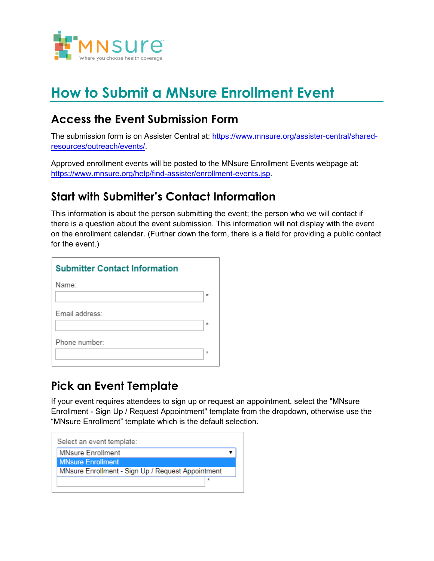

# **How to Submit a MNsure Enrollment Event**

### **Access the Event Submission Form**

The submission form is on Assister Central at: [https://www.mnsure.org/assister-central/shared](https://www.mnsure.org/assister-central/shared-resources/outreach/events/)[resources/outreach/events/.](https://www.mnsure.org/assister-central/shared-resources/outreach/events/)

Approved enrollment events will be posted to the MNsure Enrollment Events webpage at: [https://www.mnsure.org/help/find-assister/enrollment-events.jsp.](https://www.mnsure.org/help/find-assister/enrollment-events.jsp)

### **Start with Submitter's Contact Information**

This information is about the person submitting the event; the person who we will contact if there is a question about the event submission. This information will not display with the event on the enrollment calendar. (Further down the form, there is a field for providing a public contact for the event.)

| <b>Submitter Contact Information</b> |         |  |
|--------------------------------------|---------|--|
| Name:                                |         |  |
|                                      | $\star$ |  |
| Email address:                       |         |  |
|                                      | $\star$ |  |
| Phone number:                        |         |  |
|                                      | $\star$ |  |

### **Pick an Event Template**

If your event requires attendees to sign up or request an appointment, select the "MNsure Enrollment - Sign Up / Request Appointment" template from the dropdown, otherwise use the "MNsure Enrollment" template which is the default selection.

| Select an event template:                         |         |  |
|---------------------------------------------------|---------|--|
| <b>MNsure Enrollment</b>                          |         |  |
| <b>MNsure Enrollment</b>                          |         |  |
| MNsure Enrollment - Sign Up / Request Appointment |         |  |
|                                                   | $\star$ |  |
|                                                   |         |  |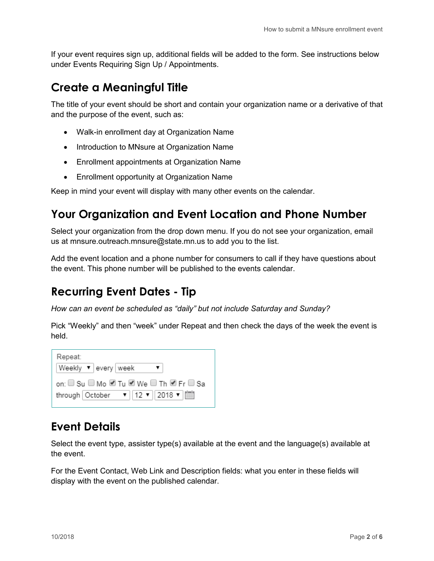If your event requires sign up, additional fields will be added to the form. See instructions below under Events Requiring Sign Up / Appointments.

#### **Create a Meaningful Title**

The title of your event should be short and contain your organization name or a derivative of that and the purpose of the event, such as:

- Walk-in enrollment day at Organization Name
- Introduction to MNsure at Organization Name
- Enrollment appointments at Organization Name
- Enrollment opportunity at Organization Name

Keep in mind your event will display with many other events on the calendar.

#### **Your Organization and Event Location and Phone Number**

Select your organization from the drop down menu. If you do not see your organization, email us at mnsure.outreach.mnsure@state.mn.us to add you to the list.

Add the event location and a phone number for consumers to call if they have questions about the event. This phone number will be published to the events calendar.

#### **Recurring Event Dates - Tip**

*How can an event be scheduled as "daily" but not include Saturday and Sunday?*

Pick "Weekly" and then "week" under Repeat and then check the days of the week the event is held.

| Repeat:<br>Weekly $\blacktriangledown$   every   week                                                                       |  |
|-----------------------------------------------------------------------------------------------------------------------------|--|
| on: □ Su □ Mo ■ Tu ■ We □ Th ■ Fr □ Sa<br>through October $\mathbf{v}$   12 $\mathbf{v}$   2018 $\mathbf{v}$   $\mathbf{v}$ |  |

#### **Event Details**

Select the event type, assister type(s) available at the event and the language(s) available at the event.

For the Event Contact, Web Link and Description fields: what you enter in these fields will display with the event on the published calendar.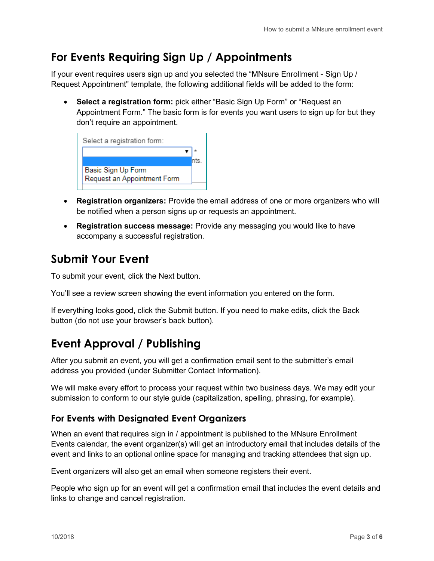### **For Events Requiring Sign Up / Appointments**

If your event requires users sign up and you selected the "MNsure Enrollment - Sign Up / Request Appointment" template, the following additional fields will be added to the form:

• **Select a registration form:** pick either "Basic Sign Up Form" or "Request an Appointment Form." The basic form is for events you want users to sign up for but they don't require an appointment.



- **Registration organizers:** Provide the email address of one or more organizers who will be notified when a person signs up or requests an appointment.
- **Registration success message:** Provide any messaging you would like to have accompany a successful registration.

### **Submit Your Event**

To submit your event, click the Next button.

You'll see a review screen showing the event information you entered on the form.

If everything looks good, click the Submit button. If you need to make edits, click the Back button (do not use your browser's back button).

### **Event Approval / Publishing**

After you submit an event, you will get a confirmation email sent to the submitter's email address you provided (under Submitter Contact Information).

We will make every effort to process your request within two business days. We may edit your submission to conform to our style guide (capitalization, spelling, phrasing, for example).

#### **For Events with Designated Event Organizers**

When an event that requires sign in / appointment is published to the MNsure Enrollment Events calendar, the event organizer(s) will get an introductory email that includes details of the event and links to an optional online space for managing and tracking attendees that sign up.

Event organizers will also get an email when someone registers their event.

People who sign up for an event will get a confirmation email that includes the event details and links to change and cancel registration.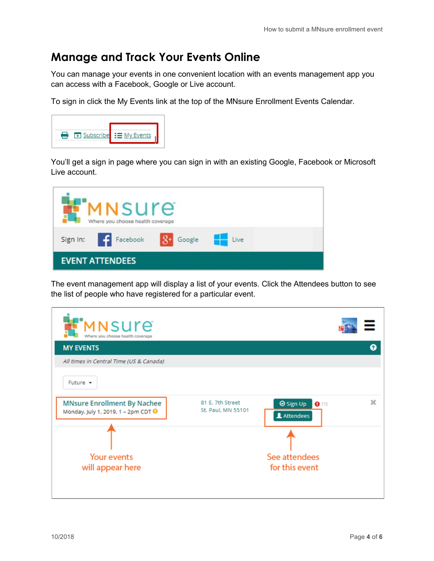#### **Manage and Track Your Events Online**

You can manage your events in one convenient location with an events management app you can access with a Facebook, Google or Live account.

To sign in click the My Events link at the top of the MNsure Enrollment Events Calendar.



You'll get a sign in page where you can sign in with an existing Google, Facebook or Microsoft Live account.

|                        | <b>MNSUre</b><br>Where you choose health coverage |                  |  |
|------------------------|---------------------------------------------------|------------------|--|
|                        | Sign In: Facebook                                 | 8+ Google - Live |  |
| <b>EVENT ATTENDEES</b> |                                                   |                  |  |

The event management app will display a list of your events. Click the Attendees button to see the list of people who have registered for a particular event.

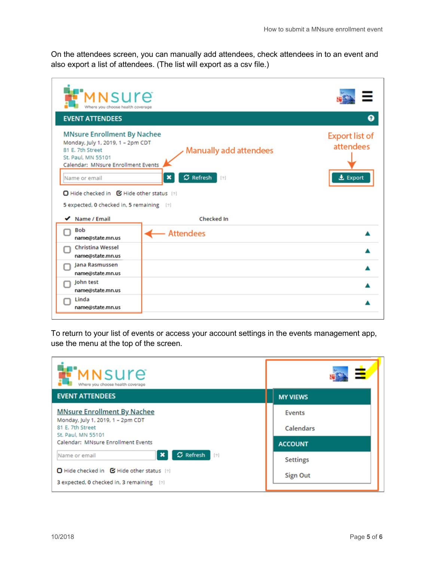On the attendees screen, you can manually add attendees, check attendees in to an event and also export a list of attendees. (The list will export as a csv file.)

| MNSUre<br>Where you choose health coverage<br><b>EVENT ATTENDEES</b>                                                                                                                                                                                               |                                                                              | 0                                                     |
|--------------------------------------------------------------------------------------------------------------------------------------------------------------------------------------------------------------------------------------------------------------------|------------------------------------------------------------------------------|-------------------------------------------------------|
| <b>MNsure Enrollment By Nachee</b><br>Monday, July 1, 2019, 1 - 2pm CDT<br>81 E. 7th Street<br>St. Paul. MN 55101<br>Calendar: MNsure Enrollment Events<br>Name or email<br>□ Hide checked in ■ Hide other status [?]<br>5 expected, 0 checked in, 5 remaining [2] | <b>Manually add attendees</b><br>$\sigma$ Refresh<br>$\pmb{\times}$<br>$[?]$ | <b>Export list of</b><br>attendees<br><b>土</b> Export |
| $\blacktriangleright$ Name / Email                                                                                                                                                                                                                                 | <b>Checked In</b>                                                            |                                                       |
| <b>Bob</b><br>name@state.mn.us                                                                                                                                                                                                                                     | – Attendees                                                                  |                                                       |
| <b>Christina Wessel</b><br>name@state.mn.us                                                                                                                                                                                                                        |                                                                              |                                                       |
| Jana Rasmussen<br>name@state.mn.us                                                                                                                                                                                                                                 |                                                                              |                                                       |
| John test<br>name@state.mn.us                                                                                                                                                                                                                                      |                                                                              |                                                       |
| Linda<br>name@state.mn.us                                                                                                                                                                                                                                          |                                                                              |                                                       |

To return to your list of events or access your account settings in the events management app, use the menu at the top of the screen.

| FMNSUre<br>Where you choose health coverage                                            | Ξ               |
|----------------------------------------------------------------------------------------|-----------------|
| <b>EVENT ATTENDEES</b>                                                                 | <b>MY VIEWS</b> |
| <b>MNsure Enrollment By Nachee</b>                                                     | <b>Events</b>   |
| Monday, July 1, 2019, 1 - 2pm CDT<br>81 E. 7th Street                                  | Calendars       |
| St. Paul, MN 55101<br>Calendar: MNsure Enrollment Events                               | <b>ACCOUNT</b>  |
| $\sigma$ Refresh [2]<br>$\pmb{\times}$<br>Name or email                                | <b>Settings</b> |
| □ Hide checked in ■ Hide other status [2]<br>3 expected, 0 checked in, 3 remaining [2] | <b>Sign Out</b> |